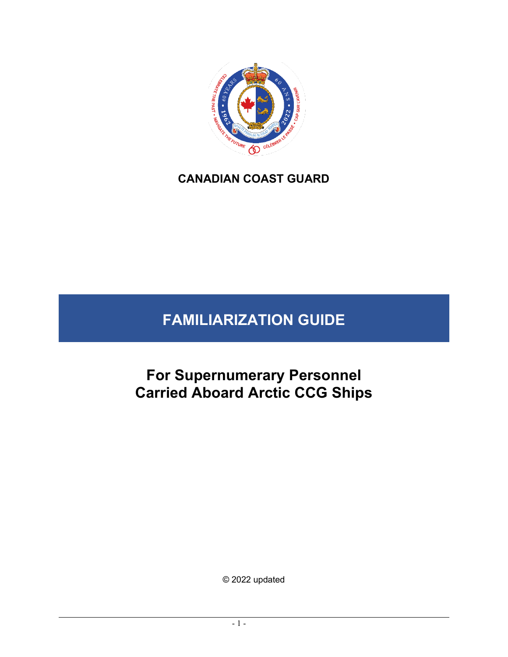

# **CANADIAN COAST GUARD**

# **FAMILIARIZATION GUIDE**

**For Supernumerary Personnel Carried Aboard Arctic CCG Ships** 

© 2022 updated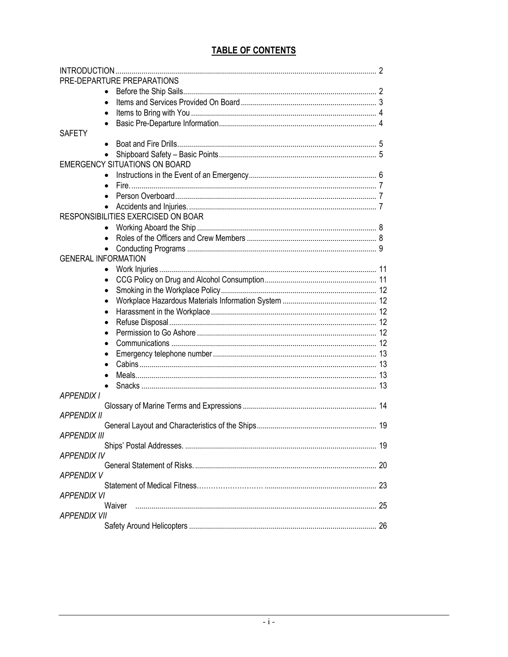## **TABLE OF CONTENTS**

| PRE-DEPARTURE PREPARATIONS           |  |
|--------------------------------------|--|
|                                      |  |
|                                      |  |
|                                      |  |
|                                      |  |
| <b>SAFETY</b>                        |  |
|                                      |  |
|                                      |  |
| <b>EMERGENCY SITUATIONS ON BOARD</b> |  |
|                                      |  |
|                                      |  |
|                                      |  |
|                                      |  |
| RESPONSIBILITIES EXERCISED ON BOAR   |  |
| $\bullet$                            |  |
|                                      |  |
|                                      |  |
| <b>GENERAL INFORMATION</b>           |  |
|                                      |  |
|                                      |  |
|                                      |  |
|                                      |  |
|                                      |  |
|                                      |  |
|                                      |  |
|                                      |  |
|                                      |  |
|                                      |  |
|                                      |  |
|                                      |  |
| <b>APPENDIX I</b>                    |  |
|                                      |  |
| <b>APPENDIX II</b>                   |  |
|                                      |  |
| <b>APPENDIX III</b>                  |  |
|                                      |  |
| <b>APPENDIX IV</b>                   |  |
|                                      |  |
| <b>APPENDIX V</b>                    |  |
|                                      |  |
| <i>APPENDIX VI</i>                   |  |
| Waiver                               |  |
| APPENDIX VII                         |  |
|                                      |  |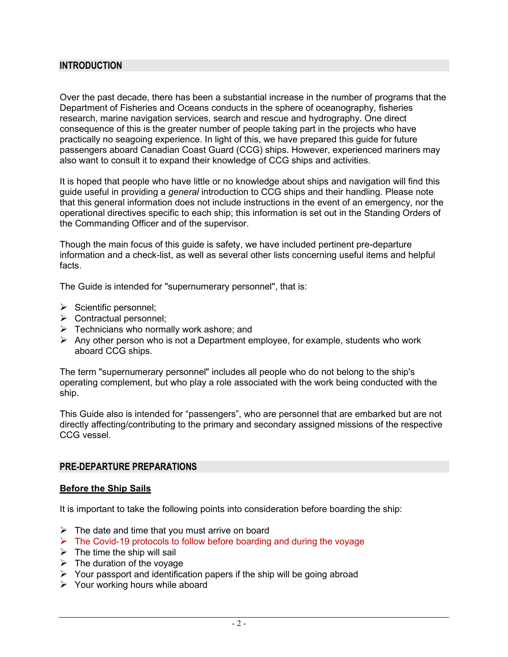### **INTRODUCTION**

Over the past decade, there has been a substantial increase in the number of programs that the Department of Fisheries and Oceans conducts in the sphere of oceanography, fisheries research, marine navigation services, search and rescue and hydrography. One direct consequence of this is the greater number of people taking part in the projects who have practically no seagoing experience. In light of this, we have prepared this guide for future passengers aboard Canadian Coast Guard (CCG) ships. However, experienced mariners may also want to consult it to expand their knowledge of CCG ships and activities.

It is hoped that people who have little or no knowledge about ships and navigation will find this guide useful in providing a *general* introduction to CCG ships and their handling. Please note that this general information does not include instructions in the event of an emergency, nor the operational directives specific to each ship; this information is set out in the Standing Orders of the Commanding Officer and of the supervisor.

Though the main focus of this guide is safety, we have included pertinent pre-departure information and a check-list, as well as several other lists concerning useful items and helpful facts.

The Guide is intended for "supernumerary personnel", that is:

- $\triangleright$  Scientific personnel;
- ➢ Contractual personnel;
- $\triangleright$  Technicians who normally work ashore; and
- $\triangleright$  Any other person who is not a Department employee, for example, students who work aboard CCG ships.

The term "supernumerary personnel" includes all people who do not belong to the ship's operating complement, but who play a role associated with the work being conducted with the ship.

This Guide also is intended for "passengers", who are personnel that are embarked but are not directly affecting/contributing to the primary and secondary assigned missions of the respective CCG vessel.

### **PRE-DEPARTURE PREPARATIONS**

### **Before the Ship Sails**

It is important to take the following points into consideration before boarding the ship:

- $\triangleright$  The date and time that you must arrive on board
- ➢ The Covid-19 protocols to follow before boarding and during the voyage
- $\triangleright$  The time the ship will sail
- $\triangleright$  The duration of the voyage
- ➢ Your passport and identification papers if the ship will be going abroad
- ➢ Your working hours while aboard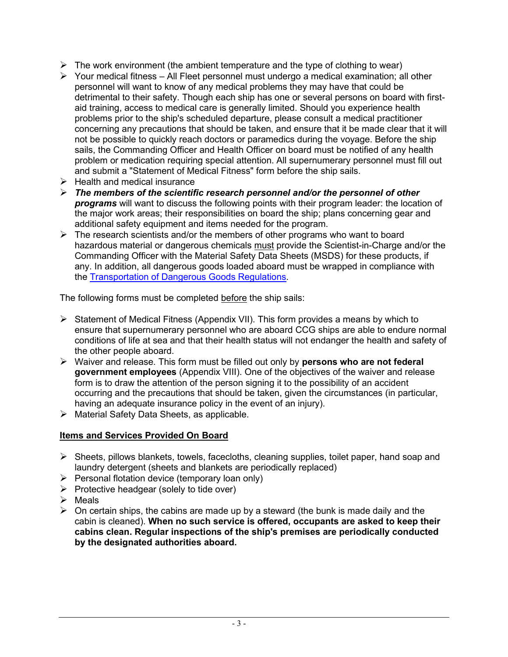- $\triangleright$  The work environment (the ambient temperature and the type of clothing to wear)
- $\triangleright$  Your medical fitness All Fleet personnel must undergo a medical examination: all other personnel will want to know of any medical problems they may have that could be detrimental to their safety. Though each ship has one or several persons on board with firstaid training, access to medical care is generally limited. Should you experience health problems prior to the ship's scheduled departure, please consult a medical practitioner concerning any precautions that should be taken, and ensure that it be made clear that it will not be possible to quickly reach doctors or paramedics during the voyage. Before the ship sails, the Commanding Officer and Health Officer on board must be notified of any health problem or medication requiring special attention. All supernumerary personnel must fill out and submit a "Statement of Medical Fitness" form before the ship sails.
- $\triangleright$  Health and medical insurance
- ➢ *The members of the scientific research personnel and/or the personnel of other programs* will want to discuss the following points with their program leader: the location of the major work areas; their responsibilities on board the ship; plans concerning gear and additional safety equipment and items needed for the program.
- $\triangleright$  The research scientists and/or the members of other programs who want to board hazardous material or dangerous chemicals must provide the Scientist-in-Charge and/or the Commanding Officer with the Material Safety Data Sheets (MSDS) for these products, if any. In addition, all dangerous goods loaded aboard must be wrapped in compliance with the [Transportation of Dangerous Goods Regulations](https://laws-lois.justice.gc.ca/eng/regulations/SOR-2001-286/index.html)*.*

The following forms must be completed before the ship sails:

- $\triangleright$  Statement of Medical Fitness (Appendix VII). This form provides a means by which to ensure that supernumerary personnel who are aboard CCG ships are able to endure normal conditions of life at sea and that their health status will not endanger the health and safety of the other people aboard.
- ➢ Waiver and release. This form must be filled out only by **persons who are not federal government employees** (Appendix VIII). One of the objectives of the waiver and release form is to draw the attention of the person signing it to the possibility of an accident occurring and the precautions that should be taken, given the circumstances (in particular, having an adequate insurance policy in the event of an injury).
- ➢ Material Safety Data Sheets, as applicable.

## **Items and Services Provided On Board**

- $\triangleright$  Sheets, pillows blankets, towels, facecloths, cleaning supplies, toilet paper, hand soap and laundry detergent (sheets and blankets are periodically replaced)
- $\triangleright$  Personal flotation device (temporary loan only)
- ➢ Protective headgear (solely to tide over)
- ➢ Meals
- $\triangleright$  On certain ships, the cabins are made up by a steward (the bunk is made daily and the cabin is cleaned). **When no such service is offered, occupants are asked to keep their cabins clean. Regular inspections of the ship's premises are periodically conducted by the designated authorities aboard.**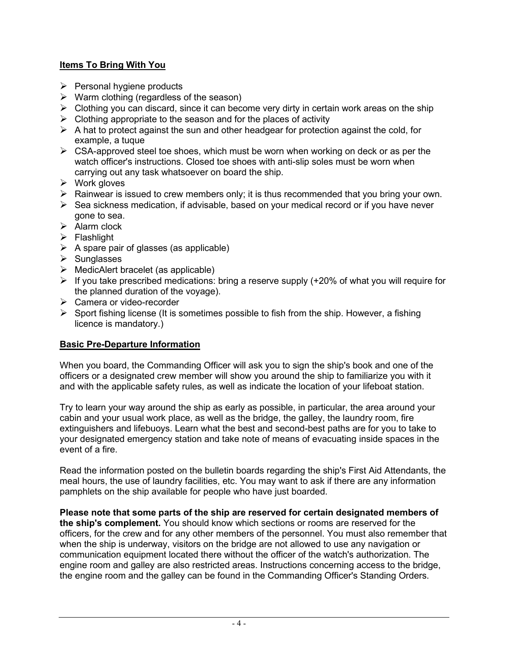## **Items To Bring With You**

- $\triangleright$  Personal hygiene products
- $\triangleright$  Warm clothing (regardless of the season)
- $\triangleright$  Clothing you can discard, since it can become very dirty in certain work areas on the ship
- $\triangleright$  Clothing appropriate to the season and for the places of activity
- $\triangleright$  A hat to protect against the sun and other headgear for protection against the cold, for example, a tuque
- $\triangleright$  CSA-approved steel toe shoes, which must be worn when working on deck or as per the watch officer's instructions. Closed toe shoes with anti-slip soles must be worn when carrying out any task whatsoever on board the ship.
- ➢ Work gloves
- $\triangleright$  Rainwear is issued to crew members only; it is thus recommended that you bring your own.
- ➢ Sea sickness medication, if advisable, based on your medical record or if you have never gone to sea.
- ➢ Alarm clock
- ➢ Flashlight
- $\triangleright$  A spare pair of glasses (as applicable)
- ➢ Sunglasses
- $\triangleright$  MedicAlert bracelet (as applicable)
- ➢ If you take prescribed medications: bring a reserve supply (+20% of what you will require for the planned duration of the voyage).
- ➢ Camera or video-recorder
- $\triangleright$  Sport fishing license (It is sometimes possible to fish from the ship. However, a fishing licence is mandatory.)

## **Basic Pre-Departure Information**

When you board, the Commanding Officer will ask you to sign the ship's book and one of the officers or a designated crew member will show you around the ship to familiarize you with it and with the applicable safety rules, as well as indicate the location of your lifeboat station.

Try to learn your way around the ship as early as possible, in particular, the area around your cabin and your usual work place, as well as the bridge, the galley, the laundry room, fire extinguishers and lifebuoys. Learn what the best and second-best paths are for you to take to your designated emergency station and take note of means of evacuating inside spaces in the event of a fire.

Read the information posted on the bulletin boards regarding the ship's First Aid Attendants, the meal hours, the use of laundry facilities, etc. You may want to ask if there are any information pamphlets on the ship available for people who have just boarded.

**Please note that some parts of the ship are reserved for certain designated members of the ship's complement.** You should know which sections or rooms are reserved for the officers, for the crew and for any other members of the personnel. You must also remember that when the ship is underway, visitors on the bridge are not allowed to use any navigation or communication equipment located there without the officer of the watch's authorization. The engine room and galley are also restricted areas. Instructions concerning access to the bridge, the engine room and the galley can be found in the Commanding Officer's Standing Orders.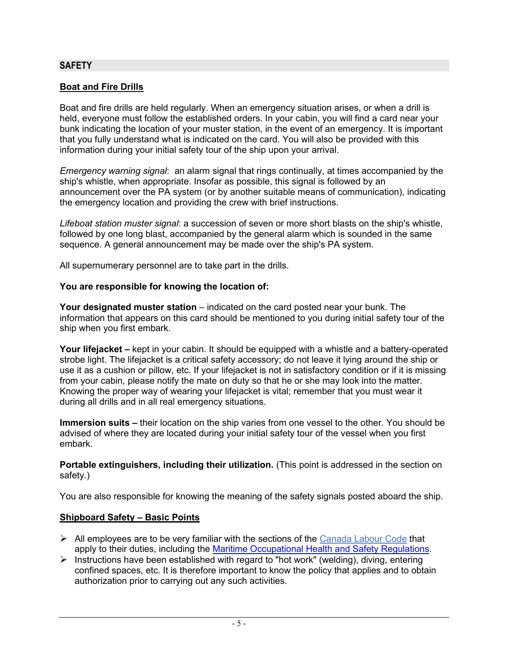### **SAFETY**

### **Boat and Fire Drills**

Boat and fire drills are held regularly. When an emergency situation arises, or when a drill is held, everyone must follow the established orders. In your cabin, you will find a card near your bunk indicating the location of your muster station, in the event of an emergency. It is important that you fully understand what is indicated on the card. You will also be provided with this information during your initial safety tour of the ship upon your arrival.

*Emergency warning signal*: an alarm signal that rings continually, at times accompanied by the ship's whistle, when appropriate. Insofar as possible, this signal is followed by an announcement over the PA system (or by another suitable means of communication), indicating the emergency location and providing the crew with brief instructions.

*Lifeboat station muster signal*: a succession of seven or more short blasts on the ship's whistle, followed by one long blast, accompanied by the general alarm which is sounded in the same sequence. A general announcement may be made over the ship's PA system.

All supernumerary personnel are to take part in the drills.

### **You are responsible for knowing the location of:**

**Your designated muster station** – indicated on the card posted near your bunk. The information that appears on this card should be mentioned to you during initial safety tour of the ship when you first embark.

**Your lifejacket –** kept in your cabin. It should be equipped with a whistle and a battery-operated strobe light. The lifejacket is a critical safety accessory; do not leave it lying around the ship or use it as a cushion or pillow, etc. If your lifejacket is not in satisfactory condition or if it is missing from your cabin, please notify the mate on duty so that he or she may look into the matter. Knowing the proper way of wearing your lifejacket is vital; remember that you must wear it during all drills and in all real emergency situations.

**Immersion suits –** their location on the ship varies from one vessel to the other. You should be advised of where they are located during your initial safety tour of the vessel when you first embark.

**Portable extinguishers, including their utilization.** (This point is addressed in the section on safety.)

You are also responsible for knowing the meaning of the safety signals posted aboard the ship.

### **Shipboard Safety – Basic Points**

- $\triangleright$  All employees are to be very familiar with the sections of the [Canada Labour Code](http://lois-laws.justice.gc.ca/eng/acts/l-2/) that apply to their duties, including the [Maritime Occupational Health and Safety Regulations.](http://laws-lois.justice.gc.ca/eng/regulations/SOR-2010-120/)
- $\triangleright$  Instructions have been established with regard to "hot work" (welding), diving, entering confined spaces, etc. It is therefore important to know the policy that applies and to obtain authorization prior to carrying out any such activities.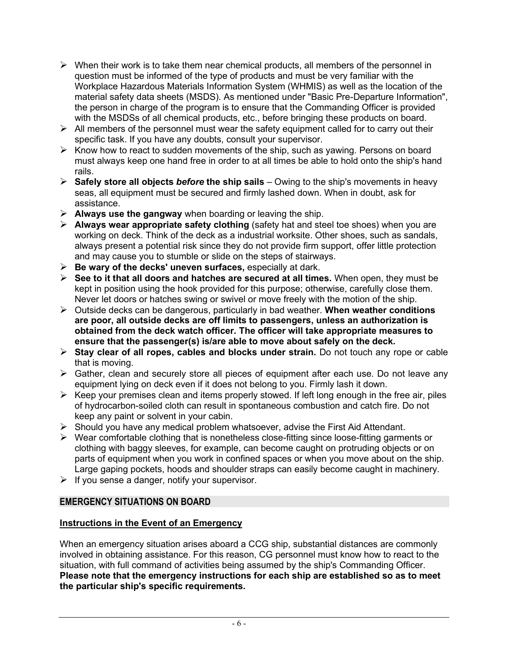- $\triangleright$  When their work is to take them near chemical products, all members of the personnel in question must be informed of the type of products and must be very familiar with the Workplace Hazardous Materials Information System (WHMIS) as well as the location of the material safety data sheets (MSDS). As mentioned under "Basic Pre-Departure Information", the person in charge of the program is to ensure that the Commanding Officer is provided with the MSDSs of all chemical products, etc., before bringing these products on board.
- $\triangleright$  All members of the personnel must wear the safety equipment called for to carry out their specific task. If you have any doubts, consult your supervisor.
- ➢ Know how to react to sudden movements of the ship, such as yawing. Persons on board must always keep one hand free in order to at all times be able to hold onto the ship's hand rails.
- ➢ **Safely store all objects** *before* **the ship sails**  Owing to the ship's movements in heavy seas, all equipment must be secured and firmly lashed down. When in doubt, ask for assistance.
- ➢ **Always use the gangway** when boarding or leaving the ship.
- ➢ **Always wear appropriate safety clothing** (safety hat and steel toe shoes) when you are working on deck. Think of the deck as a industrial worksite. Other shoes, such as sandals, always present a potential risk since they do not provide firm support, offer little protection and may cause you to stumble or slide on the steps of stairways.
- ➢ **Be wary of the decks' uneven surfaces,** especially at dark.
- ➢ **See to it that all doors and hatches are secured at all times.** When open, they must be kept in position using the hook provided for this purpose; otherwise, carefully close them. Never let doors or hatches swing or swivel or move freely with the motion of the ship.
- ➢ Outside decks can be dangerous, particularly in bad weather. **When weather conditions are poor, all outside decks are off limits to passengers, unless an authorization is obtained from the deck watch officer. The officer will take appropriate measures to ensure that the passenger(s) is/are able to move about safely on the deck.**
- ➢ **Stay clear of all ropes, cables and blocks under strain.** Do not touch any rope or cable that is moving.
- ➢ Gather, clean and securely store all pieces of equipment after each use. Do not leave any equipment lying on deck even if it does not belong to you. Firmly lash it down.
- $\triangleright$  Keep your premises clean and items properly stowed. If left long enough in the free air, piles of hydrocarbon-soiled cloth can result in spontaneous combustion and catch fire. Do not keep any paint or solvent in your cabin.
- ➢ Should you have any medical problem whatsoever, advise the First Aid Attendant.
- ➢ Wear comfortable clothing that is nonetheless close-fitting since loose-fitting garments or clothing with baggy sleeves, for example, can become caught on protruding objects or on parts of equipment when you work in confined spaces or when you move about on the ship. Large gaping pockets, hoods and shoulder straps can easily become caught in machinery.
- $\triangleright$  If you sense a danger, notify your supervisor.

## **EMERGENCY SITUATIONS ON BOARD**

## **Instructions in the Event of an Emergency**

When an emergency situation arises aboard a CCG ship, substantial distances are commonly involved in obtaining assistance. For this reason, CG personnel must know how to react to the situation, with full command of activities being assumed by the ship's Commanding Officer. **Please note that the emergency instructions for each ship are established so as to meet the particular ship's specific requirements.**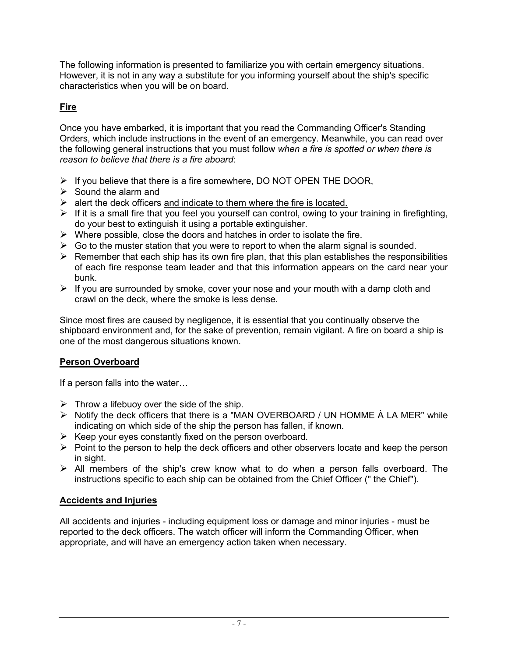The following information is presented to familiarize you with certain emergency situations. However, it is not in any way a substitute for you informing yourself about the ship's specific characteristics when you will be on board.

## **Fire**

Once you have embarked, it is important that you read the Commanding Officer's Standing Orders, which include instructions in the event of an emergency. Meanwhile, you can read over the following general instructions that you must follow *when a fire is spotted or when there is reason to believe that there is a fire aboard*:

- $\triangleright$  If you believe that there is a fire somewhere, DO NOT OPEN THE DOOR,
- $\triangleright$  Sound the alarm and
- $\triangleright$  alert the deck officers and indicate to them where the fire is located.
- $\triangleright$  If it is a small fire that you feel you yourself can control, owing to your training in firefighting, do your best to extinguish it using a portable extinguisher.
- $\triangleright$  Where possible, close the doors and hatches in order to isolate the fire.
- $\triangleright$  Go to the muster station that you were to report to when the alarm signal is sounded.
- $\triangleright$  Remember that each ship has its own fire plan, that this plan establishes the responsibilities of each fire response team leader and that this information appears on the card near your bunk.
- $\triangleright$  If you are surrounded by smoke, cover your nose and your mouth with a damp cloth and crawl on the deck, where the smoke is less dense.

Since most fires are caused by negligence, it is essential that you continually observe the shipboard environment and, for the sake of prevention, remain vigilant. A fire on board a ship is one of the most dangerous situations known.

## **Person Overboard**

If a person falls into the water…

- $\triangleright$  Throw a lifebuoy over the side of the ship.
- ➢ Notify the deck officers that there is a "MAN OVERBOARD / UN HOMME À LA MER" while indicating on which side of the ship the person has fallen, if known.
- $\triangleright$  Keep your eyes constantly fixed on the person overboard.
- $\triangleright$  Point to the person to help the deck officers and other observers locate and keep the person in sight.
- $\triangleright$  All members of the ship's crew know what to do when a person falls overboard. The instructions specific to each ship can be obtained from the Chief Officer (" the Chief").

## **Accidents and Injuries**

All accidents and injuries - including equipment loss or damage and minor injuries - must be reported to the deck officers. The watch officer will inform the Commanding Officer, when appropriate, and will have an emergency action taken when necessary.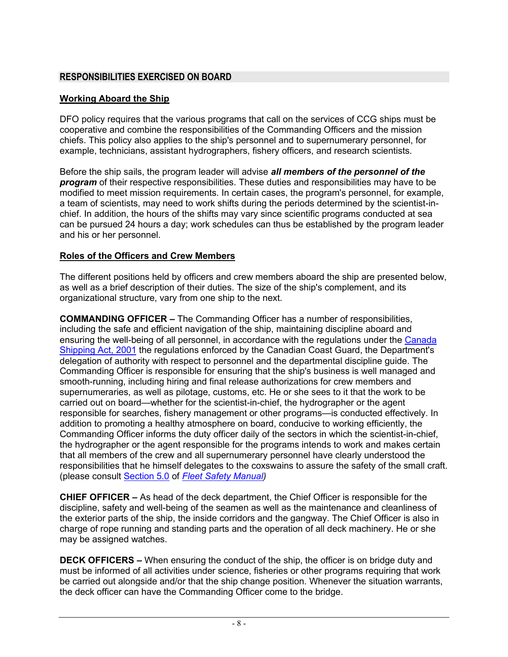## **RESPONSIBILITIES EXERCISED ON BOARD**

### **Working Aboard the Ship**

DFO policy requires that the various programs that call on the services of CCG ships must be cooperative and combine the responsibilities of the Commanding Officers and the mission chiefs. This policy also applies to the ship's personnel and to supernumerary personnel, for example, technicians, assistant hydrographers, fishery officers, and research scientists.

Before the ship sails, the program leader will advise *all members of the personnel of the program* of their respective responsibilities. These duties and responsibilities may have to be modified to meet mission requirements. In certain cases, the program's personnel, for example, a team of scientists, may need to work shifts during the periods determined by the scientist-inchief. In addition, the hours of the shifts may vary since scientific programs conducted at sea can be pursued 24 hours a day; work schedules can thus be established by the program leader and his or her personnel.

### **Roles of the Officers and Crew Members**

The different positions held by officers and crew members aboard the ship are presented below, as well as a brief description of their duties. The size of the ship's complement, and its organizational structure, vary from one ship to the next.

**COMMANDING OFFICER –** The Commanding Officer has a number of responsibilities, including the safe and efficient navigation of the ship, maintaining discipline aboard and ensuring the well-being of all personnel, in accordance with the regulations under the [Canada](https://laws-lois.justice.gc.ca/eng/acts/C-10.15/)  [Shipping Act, 2001](https://laws-lois.justice.gc.ca/eng/acts/C-10.15/) the regulations enforced by the Canadian Coast Guard, the Department's delegation of authority with respect to personnel and the departmental discipline guide. The Commanding Officer is responsible for ensuring that the ship's business is well managed and smooth-running, including hiring and final release authorizations for crew members and supernumeraries, as well as pilotage, customs, etc. He or she sees to it that the work to be carried out on board—whether for the scientist-in-chief, the hydrographer or the agent responsible for searches, fishery management or other programs—is conducted effectively. In addition to promoting a healthy atmosphere on board, conducive to working efficiently, the Commanding Officer informs the duty officer daily of the sectors in which the scientist-in-chief, the hydrographer or the agent responsible for the programs intends to work and makes certain that all members of the crew and all supernumerary personnel have clearly understood the responsibilities that he himself delegates to the coxswains to assure the safety of the small craft*.*  (please consult [Section 5.0](https://intra.ccg-gcc.gc.ca/publications/files/en/collections/5737/5737-5.pdf) of *[Fleet Safety Manual\)](https://intra.ccg-gcc.gc.ca/publications/en/5737/index.html)*

**CHIEF OFFICER –** As head of the deck department, the Chief Officer is responsible for the discipline, safety and well-being of the seamen as well as the maintenance and cleanliness of the exterior parts of the ship, the inside corridors and the gangway. The Chief Officer is also in charge of rope running and standing parts and the operation of all deck machinery. He or she may be assigned watches.

**DECK OFFICERS –** When ensuring the conduct of the ship, the officer is on bridge duty and must be informed of all activities under science, fisheries or other programs requiring that work be carried out alongside and/or that the ship change position. Whenever the situation warrants, the deck officer can have the Commanding Officer come to the bridge.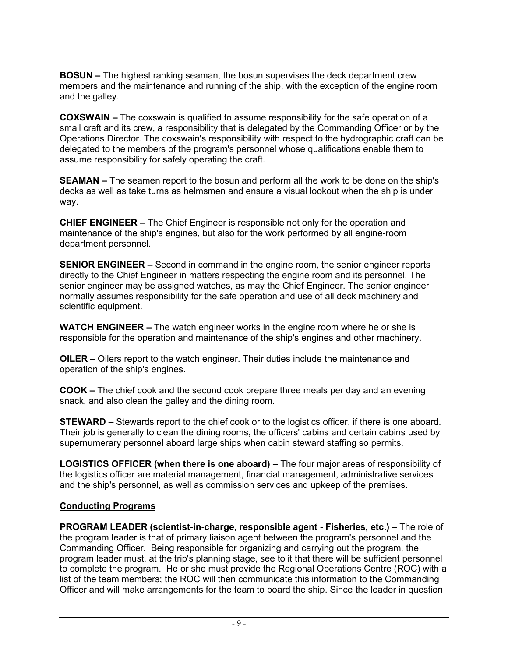**BOSUN –** The highest ranking seaman, the bosun supervises the deck department crew members and the maintenance and running of the ship, with the exception of the engine room and the galley.

**COXSWAIN –** The coxswain is qualified to assume responsibility for the safe operation of a small craft and its crew, a responsibility that is delegated by the Commanding Officer or by the Operations Director. The coxswain's responsibility with respect to the hydrographic craft can be delegated to the members of the program's personnel whose qualifications enable them to assume responsibility for safely operating the craft.

**SEAMAN –** The seamen report to the bosun and perform all the work to be done on the ship's decks as well as take turns as helmsmen and ensure a visual lookout when the ship is under way.

**CHIEF ENGINEER –** The Chief Engineer is responsible not only for the operation and maintenance of the ship's engines, but also for the work performed by all engine-room department personnel.

**SENIOR ENGINEER –** Second in command in the engine room, the senior engineer reports directly to the Chief Engineer in matters respecting the engine room and its personnel. The senior engineer may be assigned watches, as may the Chief Engineer. The senior engineer normally assumes responsibility for the safe operation and use of all deck machinery and scientific equipment.

**WATCH ENGINEER –** The watch engineer works in the engine room where he or she is responsible for the operation and maintenance of the ship's engines and other machinery.

**OILER –** Oilers report to the watch engineer. Their duties include the maintenance and operation of the ship's engines.

**COOK –** The chief cook and the second cook prepare three meals per day and an evening snack, and also clean the galley and the dining room.

**STEWARD –** Stewards report to the chief cook or to the logistics officer, if there is one aboard. Their job is generally to clean the dining rooms, the officers' cabins and certain cabins used by supernumerary personnel aboard large ships when cabin steward staffing so permits.

**LOGISTICS OFFICER (when there is one aboard) –** The four major areas of responsibility of the logistics officer are material management, financial management, administrative services and the ship's personnel, as well as commission services and upkeep of the premises.

### **Conducting Programs**

**PROGRAM LEADER (scientist-in-charge, responsible agent - Fisheries, etc.) –** The role of the program leader is that of primary liaison agent between the program's personnel and the Commanding Officer. Being responsible for organizing and carrying out the program, the program leader must, at the trip's planning stage, see to it that there will be sufficient personnel to complete the program. He or she must provide the Regional Operations Centre (ROC) with a list of the team members; the ROC will then communicate this information to the Commanding Officer and will make arrangements for the team to board the ship. Since the leader in question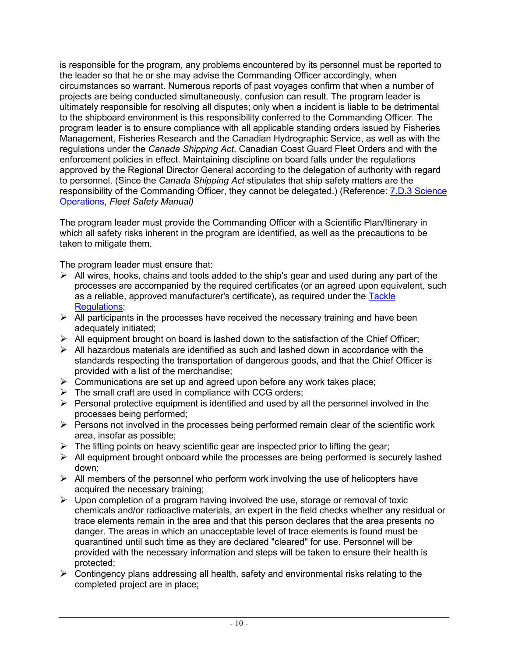is responsible for the program, any problems encountered by its personnel must be reported to the leader so that he or she may advise the Commanding Officer accordingly, when circumstances so warrant. Numerous reports of past voyages confirm that when a number of projects are being conducted simultaneously, confusion can result. The program leader is ultimately responsible for resolving all disputes; only when a incident is liable to be detrimental to the shipboard environment is this responsibility conferred to the Commanding Officer. The program leader is to ensure compliance with all applicable standing orders issued by Fisheries Management, Fisheries Research and the Canadian Hydrographic Service, as well as with the regulations under the *Canada Shipping Act*, Canadian Coast Guard Fleet Orders and with the enforcement policies in effect. Maintaining discipline on board falls under the regulations approved by the Regional Director General according to the delegation of authority with regard to personnel. (Since the *Canada Shipping Act* stipulates that ship safety matters are the responsibility of the Commanding Officer, they cannot be delegated.) (Reference: [7.D.3 Science](https://intra.ccg-gcc.gc.ca/publications/files/en/collections/5737/5737-7d3.pdf)  [Operations,](https://intra.ccg-gcc.gc.ca/publications/files/en/collections/5737/5737-7d3.pdf) *Fleet Safety Manual)*

The program leader must provide the Commanding Officer with a Scientific Plan/Itinerary in which all safety risks inherent in the program are identified, as well as the precautions to be taken to mitigate them.

The program leader must ensure that:

- ➢ All wires, hooks, chains and tools added to the ship's gear and used during any part of the processes are accompanied by the required certificates (or an agreed upon equivalent, such as a reliable, approved manufacturer's certificate), as required under the Tackle [Regulations;](https://lois-laws.justice.gc.ca/eng/regulations/C.R.C.%2C_c._1494/FullText.html)
- $\triangleright$  All participants in the processes have received the necessary training and have been adequately initiated;
- $\triangleright$  All equipment brought on board is lashed down to the satisfaction of the Chief Officer;
- $\triangleright$  All hazardous materials are identified as such and lashed down in accordance with the standards respecting the transportation of dangerous goods, and that the Chief Officer is provided with a list of the merchandise;
- $\triangleright$  Communications are set up and agreed upon before any work takes place;
- $\triangleright$  The small craft are used in compliance with CCG orders;
- $\triangleright$  Personal protective equipment is identified and used by all the personnel involved in the processes being performed;
- ➢ Persons not involved in the processes being performed remain clear of the scientific work area, insofar as possible;
- $\triangleright$  The lifting points on heavy scientific gear are inspected prior to lifting the gear;
- $\triangleright$  All equipment brought onboard while the processes are being performed is securely lashed down;
- $\triangleright$  All members of the personnel who perform work involving the use of helicopters have acquired the necessary training;
- $\triangleright$  Upon completion of a program having involved the use, storage or removal of toxic chemicals and/or radioactive materials, an expert in the field checks whether any residual or trace elements remain in the area and that this person declares that the area presents no danger. The areas in which an unacceptable level of trace elements is found must be quarantined until such time as they are declared "cleared" for use. Personnel will be provided with the necessary information and steps will be taken to ensure their health is protected;
- $\triangleright$  Contingency plans addressing all health, safety and environmental risks relating to the completed project are in place;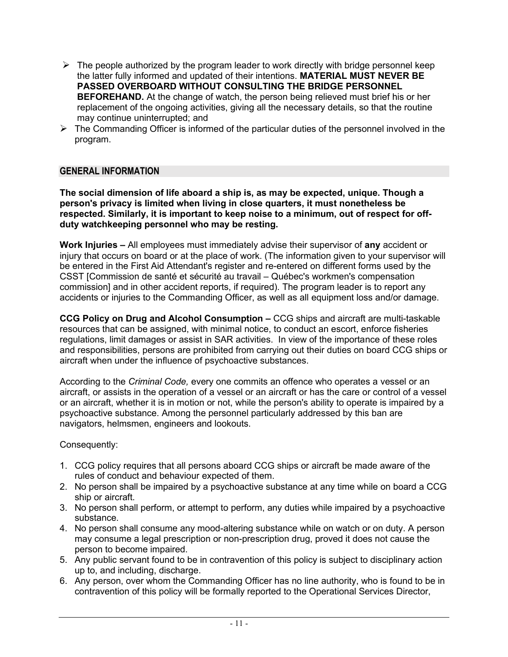- $\triangleright$  The people authorized by the program leader to work directly with bridge personnel keep the latter fully informed and updated of their intentions. **MATERIAL MUST NEVER BE PASSED OVERBOARD WITHOUT CONSULTING THE BRIDGE PERSONNEL BEFOREHAND.** At the change of watch, the person being relieved must brief his or her replacement of the ongoing activities, giving all the necessary details, so that the routine may continue uninterrupted; and
- $\triangleright$  The Commanding Officer is informed of the particular duties of the personnel involved in the program.

### **GENERAL INFORMATION**

**The social dimension of life aboard a ship is, as may be expected, unique. Though a person's privacy is limited when living in close quarters, it must nonetheless be respected. Similarly, it is important to keep noise to a minimum, out of respect for offduty watchkeeping personnel who may be resting.**

**Work Injuries –** All employees must immediately advise their supervisor of **any** accident or injury that occurs on board or at the place of work. (The information given to your supervisor will be entered in the First Aid Attendant's register and re-entered on different forms used by the CSST [Commission de santé et sécurité au travail – Québec's workmen's compensation commission] and in other accident reports, if required). The program leader is to report any accidents or injuries to the Commanding Officer, as well as all equipment loss and/or damage.

**CCG Policy on Drug and Alcohol Consumption –** CCG ships and aircraft are multi-taskable resources that can be assigned, with minimal notice, to conduct an escort, enforce fisheries regulations, limit damages or assist in SAR activities. In view of the importance of these roles and responsibilities, persons are prohibited from carrying out their duties on board CCG ships or aircraft when under the influence of psychoactive substances.

According to the *Criminal Code,* every one commits an offence who operates a vessel or an aircraft, or assists in the operation of a vessel or an aircraft or has the care or control of a vessel or an aircraft, whether it is in motion or not, while the person's ability to operate is impaired by a psychoactive substance. Among the personnel particularly addressed by this ban are navigators, helmsmen, engineers and lookouts.

Consequently:

- 1. CCG policy requires that all persons aboard CCG ships or aircraft be made aware of the rules of conduct and behaviour expected of them.
- 2. No person shall be impaired by a psychoactive substance at any time while on board a CCG ship or aircraft.
- 3. No person shall perform, or attempt to perform, any duties while impaired by a psychoactive substance.
- 4. No person shall consume any mood-altering substance while on watch or on duty. A person may consume a legal prescription or non-prescription drug, proved it does not cause the person to become impaired.
- 5. Any public servant found to be in contravention of this policy is subject to disciplinary action up to, and including, discharge.
- 6. Any person, over whom the Commanding Officer has no line authority, who is found to be in contravention of this policy will be formally reported to the Operational Services Director,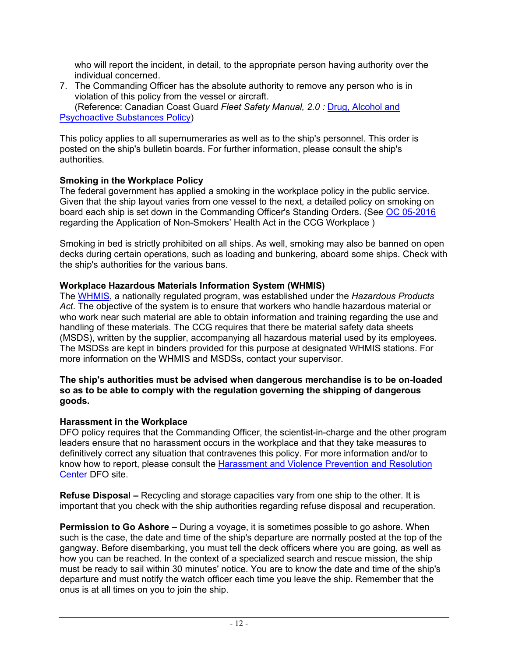who will report the incident, in detail, to the appropriate person having authority over the individual concerned.

7. The Commanding Officer has the absolute authority to remove any person who is in violation of this policy from the vessel or aircraft. (Reference: Canadian Coast Guard *Fleet Safety Manual, 2.0 :* [Drug, Alcohol and](https://intra.ccg-gcc.gc.ca/publications/files/en/collections/5737/5737-2.pdf)  [Psychoactive Substances Policy\)](https://intra.ccg-gcc.gc.ca/publications/files/en/collections/5737/5737-2.pdf)

This policy applies to all supernumeraries as well as to the ship's personnel. This order is posted on the ship's bulletin boards. For further information, please consult the ship's authorities.

## **Smoking in the Workplace Policy**

The federal government has applied a smoking in the workplace policy in the public service. Given that the ship layout varies from one vessel to the next, a detailed policy on smoking on board each ship is set down in the Commanding Officer's Standing Orders. (See [OC 05-2016](https://intra.ccg-gcc.gc.ca/publications/files/fr/collections/5323/5323-2016-05.pdf) regarding the Application of Non-Smokers' Health Act in the CCG Workplace )

Smoking in bed is strictly prohibited on all ships. As well, smoking may also be banned on open decks during certain operations, such as loading and bunkering, aboard some ships. Check with the ship's authorities for the various bans.

## **Workplace Hazardous Materials Information System (WHMIS)**

The [WHMIS,](http://www.hc-sc.gc.ca/ewh-semt/occup-travail/whmis-simdut/index-eng.php) a nationally regulated program, was established under the *Hazardous Products Act*. The objective of the system is to ensure that workers who handle hazardous material or who work near such material are able to obtain information and training regarding the use and handling of these materials. The CCG requires that there be material safety data sheets (MSDS), written by the supplier, accompanying all hazardous material used by its employees. The MSDSs are kept in binders provided for this purpose at designated WHMIS stations. For more information on the WHMIS and MSDSs, contact your supervisor.

### **The ship's authorities must be advised when dangerous merchandise is to be on-loaded so as to be able to comply with the regulation governing the shipping of dangerous goods.**

## **Harassment in the Workplace**

DFO policy requires that the Commanding Officer, the scientist-in-charge and the other program leaders ensure that no harassment occurs in the workplace and that they take measures to definitively correct any situation that contravenes this policy. For more information and/or to know how to report, please consult the [Harassment and Violence Prevention and Resolution](https://intranet.ent.dfo-mpo.ca/hr-rh/en/node/1765)  [Center](https://intranet.ent.dfo-mpo.ca/hr-rh/en/node/1765) DFO site.

**Refuse Disposal –** Recycling and storage capacities vary from one ship to the other. It is important that you check with the ship authorities regarding refuse disposal and recuperation.

**Permission to Go Ashore –** During a voyage, it is sometimes possible to go ashore. When such is the case, the date and time of the ship's departure are normally posted at the top of the gangway. Before disembarking, you must tell the deck officers where you are going, as well as how you can be reached. In the context of a specialized search and rescue mission, the ship must be ready to sail within 30 minutes' notice. You are to know the date and time of the ship's departure and must notify the watch officer each time you leave the ship. Remember that the onus is at all times on you to join the ship.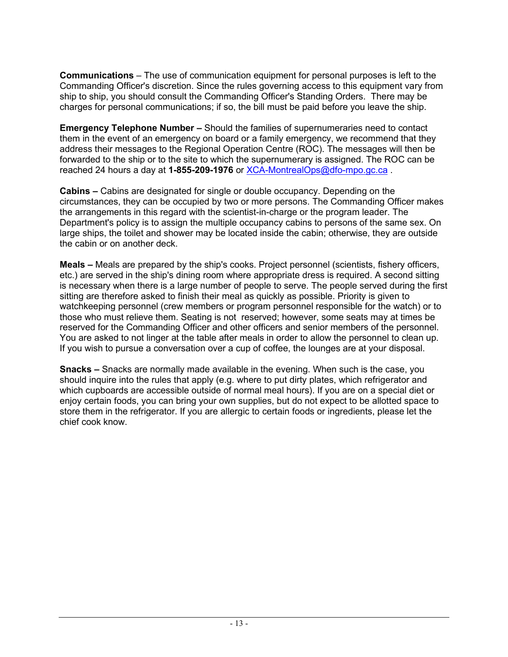**Communications** – The use of communication equipment for personal purposes is left to the Commanding Officer's discretion. Since the rules governing access to this equipment vary from ship to ship, you should consult the Commanding Officer's Standing Orders. There may be charges for personal communications; if so, the bill must be paid before you leave the ship.

**Emergency Telephone Number –** Should the families of supernumeraries need to contact them in the event of an emergency on board or a family emergency, we recommend that they address their messages to the Regional Operation Centre (ROC). The messages will then be forwarded to the ship or to the site to which the supernumerary is assigned. The ROC can be reached 24 hours a day at **1-855-209-1976** or [XCA-MontrealOps@dfo-mpo.gc.ca](mailto:XCA-MontrealOps@dfo-mpo.gc.ca) .

**Cabins –** Cabins are designated for single or double occupancy. Depending on the circumstances, they can be occupied by two or more persons. The Commanding Officer makes the arrangements in this regard with the scientist-in-charge or the program leader. The Department's policy is to assign the multiple occupancy cabins to persons of the same sex. On large ships, the toilet and shower may be located inside the cabin; otherwise, they are outside the cabin or on another deck.

**Meals –** Meals are prepared by the ship's cooks. Project personnel (scientists, fishery officers, etc.) are served in the ship's dining room where appropriate dress is required. A second sitting is necessary when there is a large number of people to serve. The people served during the first sitting are therefore asked to finish their meal as quickly as possible. Priority is given to watchkeeping personnel (crew members or program personnel responsible for the watch) or to those who must relieve them. Seating is not reserved; however, some seats may at times be reserved for the Commanding Officer and other officers and senior members of the personnel. You are asked to not linger at the table after meals in order to allow the personnel to clean up. If you wish to pursue a conversation over a cup of coffee, the lounges are at your disposal.

**Snacks –** Snacks are normally made available in the evening. When such is the case, you should inquire into the rules that apply (e.g. where to put dirty plates, which refrigerator and which cupboards are accessible outside of normal meal hours). If you are on a special diet or enjoy certain foods, you can bring your own supplies, but do not expect to be allotted space to store them in the refrigerator. If you are allergic to certain foods or ingredients, please let the chief cook know.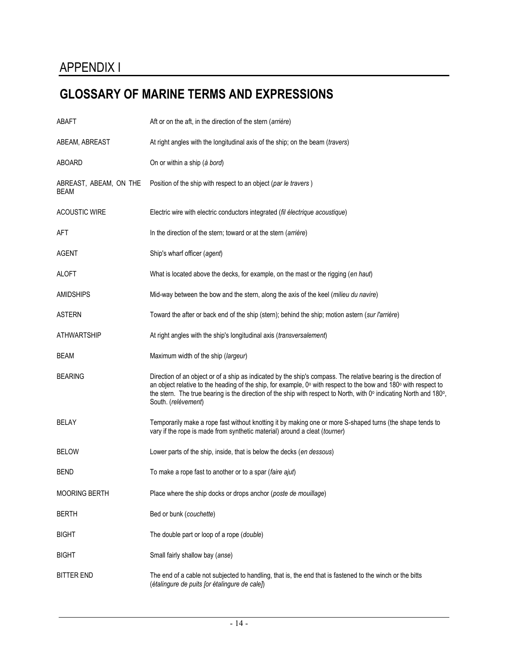# **GLOSSARY OF MARINE TERMS AND EXPRESSIONS**

| <b>ABAFT</b>                   | Aft or on the aft, in the direction of the stern (arrière)                                                                                                                                                                                                                                                                                                                       |
|--------------------------------|----------------------------------------------------------------------------------------------------------------------------------------------------------------------------------------------------------------------------------------------------------------------------------------------------------------------------------------------------------------------------------|
| ABEAM, ABREAST                 | At right angles with the longitudinal axis of the ship; on the beam (travers)                                                                                                                                                                                                                                                                                                    |
| <b>ABOARD</b>                  | On or within a ship (à bord)                                                                                                                                                                                                                                                                                                                                                     |
| ABREAST, ABEAM, ON THE<br>BEAM | Position of the ship with respect to an object (par le travers)                                                                                                                                                                                                                                                                                                                  |
| <b>ACOUSTIC WIRE</b>           | Electric wire with electric conductors integrated (fil électrique acoustique)                                                                                                                                                                                                                                                                                                    |
| AFT                            | In the direction of the stern; toward or at the stern (arrière)                                                                                                                                                                                                                                                                                                                  |
| <b>AGENT</b>                   | Ship's wharf officer (agent)                                                                                                                                                                                                                                                                                                                                                     |
| <b>ALOFT</b>                   | What is located above the decks, for example, on the mast or the rigging (en haut)                                                                                                                                                                                                                                                                                               |
| <b>AMIDSHIPS</b>               | Mid-way between the bow and the stern, along the axis of the keel (milieu du navire)                                                                                                                                                                                                                                                                                             |
| <b>ASTERN</b>                  | Toward the after or back end of the ship (stern); behind the ship; motion astern (sur l'arrière)                                                                                                                                                                                                                                                                                 |
| <b>ATHWARTSHIP</b>             | At right angles with the ship's longitudinal axis (transversalement)                                                                                                                                                                                                                                                                                                             |
| <b>BEAM</b>                    | Maximum width of the ship (largeur)                                                                                                                                                                                                                                                                                                                                              |
| <b>BEARING</b>                 | Direction of an object or of a ship as indicated by the ship's compass. The relative bearing is the direction of<br>an object relative to the heading of the ship, for example, 0° with respect to the bow and 180° with respect to<br>the stern. The true bearing is the direction of the ship with respect to North, with 0° indicating North and 180°,<br>South. (relèvement) |
| BELAY                          | Temporarily make a rope fast without knotting it by making one or more S-shaped turns (the shape tends to<br>vary if the rope is made from synthetic material) around a cleat (tourner)                                                                                                                                                                                          |
| <b>BELOW</b>                   | Lower parts of the ship, inside, that is below the decks (en dessous)                                                                                                                                                                                                                                                                                                            |
| <b>BEND</b>                    | To make a rope fast to another or to a spar (faire ajut)                                                                                                                                                                                                                                                                                                                         |
| <b>MOORING BERTH</b>           | Place where the ship docks or drops anchor (poste de mouillage)                                                                                                                                                                                                                                                                                                                  |
| <b>BERTH</b>                   | Bed or bunk (couchette)                                                                                                                                                                                                                                                                                                                                                          |
| <b>BIGHT</b>                   | The double part or loop of a rope (double)                                                                                                                                                                                                                                                                                                                                       |
| <b>BIGHT</b>                   | Small fairly shallow bay (anse)                                                                                                                                                                                                                                                                                                                                                  |
| <b>BITTER END</b>              | The end of a cable not subjected to handling, that is, the end that is fastened to the winch or the bitts<br>(étalingure de puits [or étalingure de cale])                                                                                                                                                                                                                       |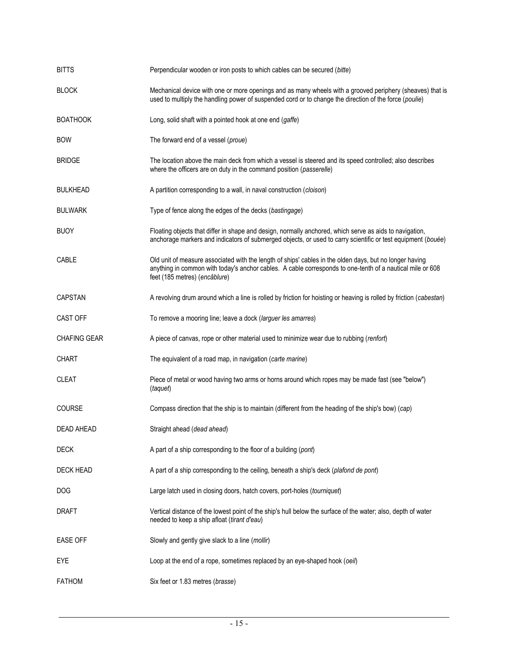| <b>BITTS</b>        | Perpendicular wooden or iron posts to which cables can be secured (bitte)                                                                                                                                                                             |
|---------------------|-------------------------------------------------------------------------------------------------------------------------------------------------------------------------------------------------------------------------------------------------------|
| <b>BLOCK</b>        | Mechanical device with one or more openings and as many wheels with a grooved periphery (sheaves) that is<br>used to multiply the handling power of suspended cord or to change the direction of the force (poulie)                                   |
| <b>BOATHOOK</b>     | Long, solid shaft with a pointed hook at one end (gaffe)                                                                                                                                                                                              |
| <b>BOW</b>          | The forward end of a vessel (proue)                                                                                                                                                                                                                   |
| <b>BRIDGE</b>       | The location above the main deck from which a vessel is steered and its speed controlled; also describes<br>where the officers are on duty in the command position (passerelle)                                                                       |
| <b>BULKHEAD</b>     | A partition corresponding to a wall, in naval construction (cloison)                                                                                                                                                                                  |
| <b>BULWARK</b>      | Type of fence along the edges of the decks (bastingage)                                                                                                                                                                                               |
| <b>BUOY</b>         | Floating objects that differ in shape and design, normally anchored, which serve as aids to navigation,<br>anchorage markers and indicators of submerged objects, or used to carry scientific or test equipment (bouée)                               |
| CABLE               | Old unit of measure associated with the length of ships' cables in the olden days, but no longer having<br>anything in common with today's anchor cables. A cable corresponds to one-tenth of a nautical mile or 608<br>feet (185 metres) (encâblure) |
| CAPSTAN             | A revolving drum around which a line is rolled by friction for hoisting or heaving is rolled by friction (cabestan)                                                                                                                                   |
| <b>CAST OFF</b>     | To remove a mooring line; leave a dock (larguer les amarres)                                                                                                                                                                                          |
| <b>CHAFING GEAR</b> | A piece of canvas, rope or other material used to minimize wear due to rubbing (renfort)                                                                                                                                                              |
| <b>CHART</b>        | The equivalent of a road map, in navigation (carte marine)                                                                                                                                                                                            |
| <b>CLEAT</b>        | Piece of metal or wood having two arms or horns around which ropes may be made fast (see "below")<br>(taquet)                                                                                                                                         |
| <b>COURSE</b>       | Compass direction that the ship is to maintain (different from the heading of the ship's bow) (cap)                                                                                                                                                   |
| DEAD AHEAD          | Straight ahead (dead ahead)                                                                                                                                                                                                                           |
| <b>DECK</b>         | A part of a ship corresponding to the floor of a building (pont)                                                                                                                                                                                      |
| <b>DECK HEAD</b>    | A part of a ship corresponding to the ceiling, beneath a ship's deck (plafond de pont)                                                                                                                                                                |
| DOG                 | Large latch used in closing doors, hatch covers, port-holes (tourniquet)                                                                                                                                                                              |
| <b>DRAFT</b>        | Vertical distance of the lowest point of the ship's hull below the surface of the water; also, depth of water<br>needed to keep a ship afloat (tirant d'eau)                                                                                          |
| <b>EASE OFF</b>     | Slowly and gently give slack to a line (mollir)                                                                                                                                                                                                       |
| EYE                 | Loop at the end of a rope, sometimes replaced by an eye-shaped hook (oeil)                                                                                                                                                                            |
| <b>FATHOM</b>       | Six feet or 1.83 metres (brasse)                                                                                                                                                                                                                      |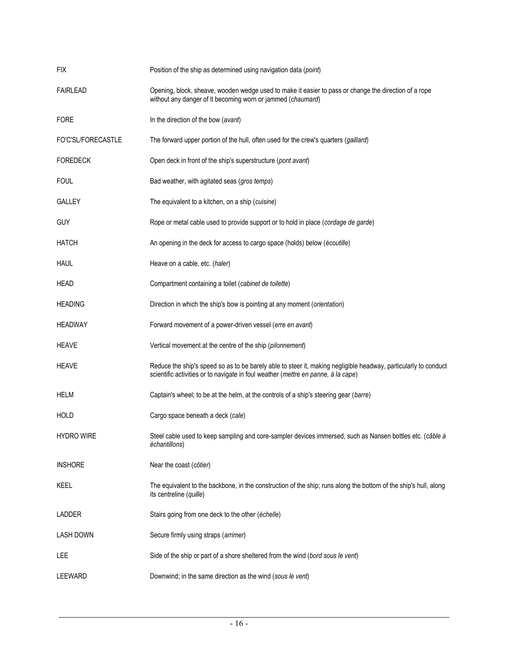| <b>FIX</b>         | Position of the ship as determined using navigation data (point)                                                                                                                                     |
|--------------------|------------------------------------------------------------------------------------------------------------------------------------------------------------------------------------------------------|
| <b>FAIRLEAD</b>    | Opening, block, sheave, wooden wedge used to make it easier to pass or change the direction of a rope<br>without any danger of it becoming worn or jammed (chaumard)                                 |
| <b>FORE</b>        | In the direction of the bow (avant)                                                                                                                                                                  |
| FO'C'SL/FORECASTLE | The forward upper portion of the hull, often used for the crew's quarters (gaillard)                                                                                                                 |
| <b>FOREDECK</b>    | Open deck in front of the ship's superstructure (pont avant)                                                                                                                                         |
| <b>FOUL</b>        | Bad weather, with agitated seas (gros temps)                                                                                                                                                         |
| <b>GALLEY</b>      | The equivalent to a kitchen, on a ship (cuisine)                                                                                                                                                     |
| <b>GUY</b>         | Rope or metal cable used to provide support or to hold in place (cordage de garde)                                                                                                                   |
| <b>HATCH</b>       | An opening in the deck for access to cargo space (holds) below (écoutille)                                                                                                                           |
| <b>HAUL</b>        | Heave on a cable, etc. (haler)                                                                                                                                                                       |
| <b>HEAD</b>        | Compartment containing a toilet (cabinet de toilette)                                                                                                                                                |
| <b>HEADING</b>     | Direction in which the ship's bow is pointing at any moment (orientation)                                                                                                                            |
| <b>HEADWAY</b>     | Forward movement of a power-driven vessel (erre en avant)                                                                                                                                            |
| <b>HEAVE</b>       | Vertical movement at the centre of the ship (pilonnement)                                                                                                                                            |
| <b>HEAVE</b>       | Reduce the ship's speed so as to be barely able to steer it, making negligible headway, particularly to conduct<br>scientific activities or to navigate in foul weather (mettre en panne, à la cape) |
| <b>HELM</b>        | Captain's wheel; to be at the helm, at the controls of a ship's steering gear (barre)                                                                                                                |
| <b>HOLD</b>        | Cargo space beneath a deck (cale)                                                                                                                                                                    |
| <b>HYDRO WIRE</b>  | Steel cable used to keep sampling and core-sampler devices immersed, such as Nansen bottles etc. (câble à<br>échantillons)                                                                           |
| <b>INSHORE</b>     | Near the coast (côtier)                                                                                                                                                                              |
| KEEL               | The equivalent to the backbone, in the construction of the ship; runs along the bottom of the ship's hull, along<br>its centreline (quille)                                                          |
| <b>LADDER</b>      | Stairs going from one deck to the other (échelle)                                                                                                                                                    |
| <b>LASH DOWN</b>   | Secure firmly using straps (arrimer)                                                                                                                                                                 |
| <b>LEE</b>         | Side of the ship or part of a shore sheltered from the wind (bord sous le vent)                                                                                                                      |
| LEEWARD            | Downwind; in the same direction as the wind (sous le vent)                                                                                                                                           |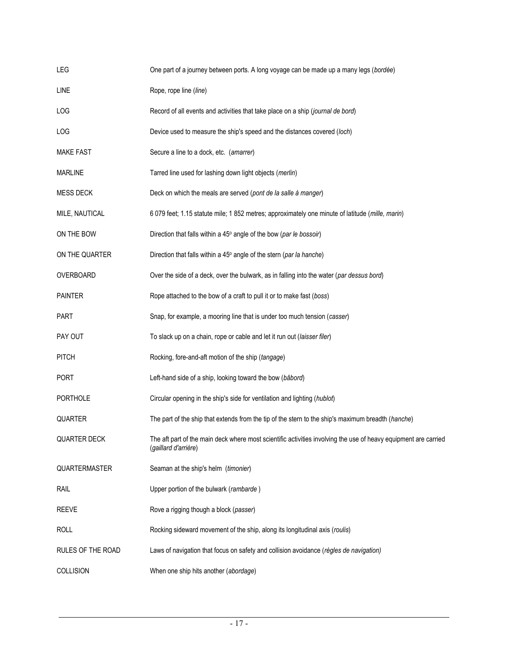| LEG                 | One part of a journey between ports. A long voyage can be made up a many legs (bordée)                                                  |
|---------------------|-----------------------------------------------------------------------------------------------------------------------------------------|
| <b>LINE</b>         | Rope, rope line (line)                                                                                                                  |
| LOG                 | Record of all events and activities that take place on a ship (journal de bord)                                                         |
| LOG                 | Device used to measure the ship's speed and the distances covered (loch)                                                                |
| <b>MAKE FAST</b>    | Secure a line to a dock, etc. (amarrer)                                                                                                 |
| <b>MARLINE</b>      | Tarred line used for lashing down light objects (merlin)                                                                                |
| <b>MESS DECK</b>    | Deck on which the meals are served (pont de la salle à manger)                                                                          |
| MILE, NAUTICAL      | 6 079 feet; 1.15 statute mile; 1 852 metres; approximately one minute of latitude (mille, marin)                                        |
| ON THE BOW          | Direction that falls within a 45° angle of the bow (par le bossoir)                                                                     |
| ON THE QUARTER      | Direction that falls within a 45° angle of the stern (par la hanche)                                                                    |
| OVERBOARD           | Over the side of a deck, over the bulwark, as in falling into the water (par dessus bord)                                               |
| <b>PAINTER</b>      | Rope attached to the bow of a craft to pull it or to make fast (boss)                                                                   |
| <b>PART</b>         | Snap, for example, a mooring line that is under too much tension (casser)                                                               |
| PAY OUT             | To slack up on a chain, rope or cable and let it run out (laisser filer)                                                                |
| <b>PITCH</b>        | Rocking, fore-and-aft motion of the ship (tangage)                                                                                      |
| <b>PORT</b>         | Left-hand side of a ship, looking toward the bow (bâbord)                                                                               |
| <b>PORTHOLE</b>     | Circular opening in the ship's side for ventilation and lighting (hublot)                                                               |
| QUARTER             | The part of the ship that extends from the tip of the stern to the ship's maximum breadth (hanche)                                      |
| <b>QUARTER DECK</b> | The aft part of the main deck where most scientific activities involving the use of heavy equipment are carried<br>(gaillard d'arrière) |
| QUARTERMASTER       | Seaman at the ship's helm (timonier)                                                                                                    |
| RAIL                | Upper portion of the bulwark (rambarde)                                                                                                 |
| <b>REEVE</b>        | Rove a rigging though a block (passer)                                                                                                  |
| <b>ROLL</b>         | Rocking sideward movement of the ship, along its longitudinal axis (roulis)                                                             |
| RULES OF THE ROAD   | Laws of navigation that focus on safety and collision avoidance (règles de navigation)                                                  |
| <b>COLLISION</b>    | When one ship hits another (abordage)                                                                                                   |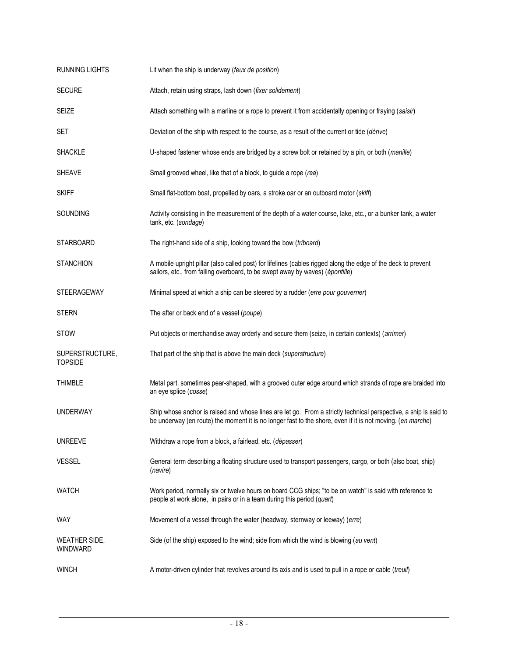| <b>RUNNING LIGHTS</b>             | Lit when the ship is underway (feux de position)                                                                                                                                                                               |
|-----------------------------------|--------------------------------------------------------------------------------------------------------------------------------------------------------------------------------------------------------------------------------|
| <b>SECURE</b>                     | Attach, retain using straps, lash down (fixer solidement)                                                                                                                                                                      |
| <b>SEIZE</b>                      | Attach something with a marline or a rope to prevent it from accidentally opening or fraying (saisir)                                                                                                                          |
| <b>SET</b>                        | Deviation of the ship with respect to the course, as a result of the current or tide (dérive)                                                                                                                                  |
| <b>SHACKLE</b>                    | U-shaped fastener whose ends are bridged by a screw bolt or retained by a pin, or both (manille)                                                                                                                               |
| <b>SHEAVE</b>                     | Small grooved wheel, like that of a block, to guide a rope (rea)                                                                                                                                                               |
| <b>SKIFF</b>                      | Small flat-bottom boat, propelled by oars, a stroke oar or an outboard motor (skiff)                                                                                                                                           |
| SOUNDING                          | Activity consisting in the measurement of the depth of a water course, lake, etc., or a bunker tank, a water<br>tank, etc. (sondage)                                                                                           |
| <b>STARBOARD</b>                  | The right-hand side of a ship, looking toward the bow (triboard)                                                                                                                                                               |
| <b>STANCHION</b>                  | A mobile upright pillar (also called post) for lifelines (cables rigged along the edge of the deck to prevent<br>sailors, etc., from falling overboard, to be swept away by waves) (épontille)                                 |
| <b>STEERAGEWAY</b>                | Minimal speed at which a ship can be steered by a rudder (erre pour gouverner)                                                                                                                                                 |
| <b>STERN</b>                      | The after or back end of a vessel (poupe)                                                                                                                                                                                      |
| <b>STOW</b>                       | Put objects or merchandise away orderly and secure them (seize, in certain contexts) (arrimer)                                                                                                                                 |
| SUPERSTRUCTURE,<br><b>TOPSIDE</b> | That part of the ship that is above the main deck (superstructure)                                                                                                                                                             |
| <b>THIMBLE</b>                    | Metal part, sometimes pear-shaped, with a grooved outer edge around which strands of rope are braided into<br>an eye splice (cosse)                                                                                            |
| <b>UNDERWAY</b>                   | Ship whose anchor is raised and whose lines are let go. From a strictly technical perspective, a ship is said to<br>be underway (en route) the moment it is no longer fast to the shore, even if it is not moving. (en marche) |
| <b>UNREEVE</b>                    | Withdraw a rope from a block, a fairlead, etc. (dépasser)                                                                                                                                                                      |
| <b>VESSEL</b>                     | General term describing a floating structure used to transport passengers, cargo, or both (also boat, ship)<br>(navire)                                                                                                        |
| <b>WATCH</b>                      | Work period, normally six or twelve hours on board CCG ships; "to be on watch" is said with reference to<br>people at work alone, in pairs or in a team during this period (quart)                                             |
| <b>WAY</b>                        | Movement of a vessel through the water (headway, sternway or leeway) (erre)                                                                                                                                                    |
| WEATHER SIDE,<br>WINDWARD         | Side (of the ship) exposed to the wind; side from which the wind is blowing (au vent)                                                                                                                                          |
| <b>WINCH</b>                      | A motor-driven cylinder that revolves around its axis and is used to pull in a rope or cable (treuil)                                                                                                                          |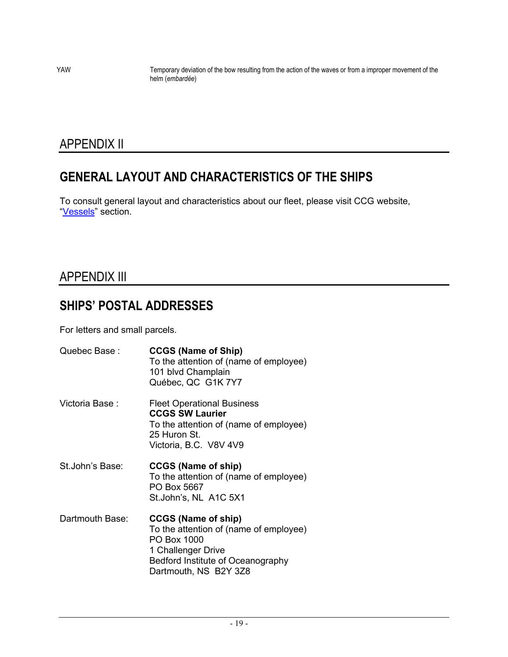YAW Temporary deviation of the bow resulting from the action of the waves or from a improper movement of the helm (*embardée*)

# APPENDIX II

# **GENERAL LAYOUT AND CHARACTERISTICS OF THE SHIPS**

To consult general layout and characteristics about our fleet, please visit CCG website, "[Vessels](https://inter-j01.dfo-mpo.gc.ca/fdat/vessels)" section.

# APPENDIX III

# **SHIPS' POSTAL ADDRESSES**

For letters and small parcels.

| Quebec Base:    | <b>CCGS (Name of Ship)</b><br>To the attention of (name of employee)<br>101 blvd Champlain<br>Québec, QC G1K 7Y7                                                        |
|-----------------|-------------------------------------------------------------------------------------------------------------------------------------------------------------------------|
| Victoria Base : | <b>Fleet Operational Business</b><br><b>CCGS SW Laurier</b><br>To the attention of (name of employee)<br>25 Huron St.<br>Victoria, B.C. V8V 4V9                         |
| St.John's Base: | <b>CCGS (Name of ship)</b><br>To the attention of (name of employee)<br>PO Box 5667<br>St.John's, NL A1C 5X1                                                            |
| Dartmouth Base: | <b>CCGS (Name of ship)</b><br>To the attention of (name of employee)<br>PO Box 1000<br>1 Challenger Drive<br>Bedford Institute of Oceanography<br>Dartmouth, NS B2Y 3Z8 |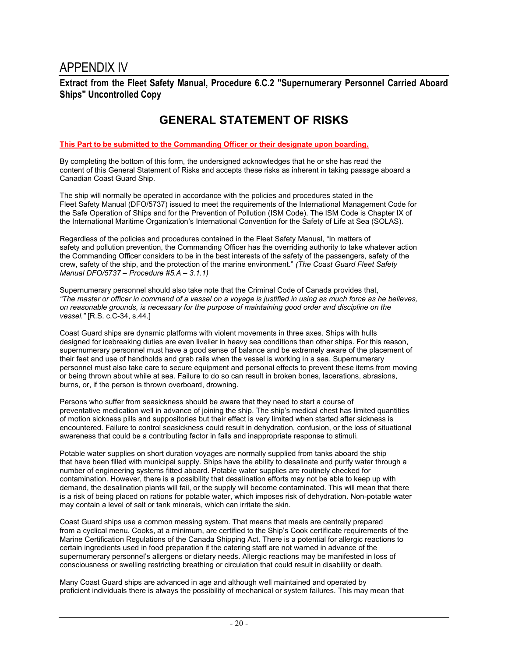**Extract from the Fleet Safety Manual, Procedure 6.C.2 "Supernumerary Personnel Carried Aboard Ships" Uncontrolled Copy**

# **GENERAL STATEMENT OF RISKS**

#### **This Part to be submitted to the Commanding Officer or their designate upon boarding.**

By completing the bottom of this form, the undersigned acknowledges that he or she has read the content of this General Statement of Risks and accepts these risks as inherent in taking passage aboard a Canadian Coast Guard Ship.

The ship will normally be operated in accordance with the policies and procedures stated in the Fleet Safety Manual (DFO/5737) issued to meet the requirements of the International Management Code for the Safe Operation of Ships and for the Prevention of Pollution (ISM Code). The ISM Code is Chapter IX of the International Maritime Organization's International Convention for the Safety of Life at Sea (SOLAS).

Regardless of the policies and procedures contained in the Fleet Safety Manual, "In matters of safety and pollution prevention, the Commanding Officer has the overriding authority to take whatever action the Commanding Officer considers to be in the best interests of the safety of the passengers, safety of the crew, safety of the ship, and the protection of the marine environment." *(The Coast Guard Fleet Safety Manual DFO/5737 – Procedure #5.A – 3.1.1)*

Supernumerary personnel should also take note that the Criminal Code of Canada provides that, *"The master or officer in command of a vessel on a voyage is justified in using as much force as he believes, on reasonable grounds, is necessary for the purpose of maintaining good order and discipline on the vessel."* [R.S. c.C-34, s.44.]

Coast Guard ships are dynamic platforms with violent movements in three axes. Ships with hulls designed for icebreaking duties are even livelier in heavy sea conditions than other ships. For this reason, supernumerary personnel must have a good sense of balance and be extremely aware of the placement of their feet and use of handholds and grab rails when the vessel is working in a sea. Supernumerary personnel must also take care to secure equipment and personal effects to prevent these items from moving or being thrown about while at sea. Failure to do so can result in broken bones, lacerations, abrasions, burns, or, if the person is thrown overboard, drowning.

Persons who suffer from seasickness should be aware that they need to start a course of preventative medication well in advance of joining the ship. The ship's medical chest has limited quantities of motion sickness pills and suppositories but their effect is very limited when started after sickness is encountered. Failure to control seasickness could result in dehydration, confusion, or the loss of situational awareness that could be a contributing factor in falls and inappropriate response to stimuli.

Potable water supplies on short duration voyages are normally supplied from tanks aboard the ship that have been filled with municipal supply. Ships have the ability to desalinate and purify water through a number of engineering systems fitted aboard. Potable water supplies are routinely checked for contamination. However, there is a possibility that desalination efforts may not be able to keep up with demand, the desalination plants will fail, or the supply will become contaminated. This will mean that there is a risk of being placed on rations for potable water, which imposes risk of dehydration. Non-potable water may contain a level of salt or tank minerals, which can irritate the skin.

Coast Guard ships use a common messing system. That means that meals are centrally prepared from a cyclical menu. Cooks, at a minimum, are certified to the Ship's Cook certificate requirements of the Marine Certification Regulations of the Canada Shipping Act. There is a potential for allergic reactions to certain ingredients used in food preparation if the catering staff are not warned in advance of the supernumerary personnel's allergens or dietary needs. Allergic reactions may be manifested in loss of consciousness or swelling restricting breathing or circulation that could result in disability or death.

Many Coast Guard ships are advanced in age and although well maintained and operated by proficient individuals there is always the possibility of mechanical or system failures. This may mean that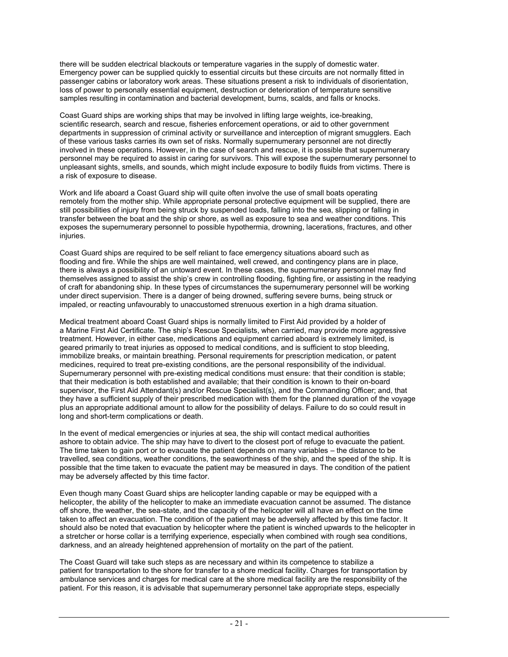there will be sudden electrical blackouts or temperature vagaries in the supply of domestic water. Emergency power can be supplied quickly to essential circuits but these circuits are not normally fitted in passenger cabins or laboratory work areas. These situations present a risk to individuals of disorientation, loss of power to personally essential equipment, destruction or deterioration of temperature sensitive samples resulting in contamination and bacterial development, burns, scalds, and falls or knocks.

Coast Guard ships are working ships that may be involved in lifting large weights, ice-breaking, scientific research, search and rescue, fisheries enforcement operations, or aid to other government departments in suppression of criminal activity or surveillance and interception of migrant smugglers. Each of these various tasks carries its own set of risks. Normally supernumerary personnel are not directly involved in these operations. However, in the case of search and rescue, it is possible that supernumerary personnel may be required to assist in caring for survivors. This will expose the supernumerary personnel to unpleasant sights, smells, and sounds, which might include exposure to bodily fluids from victims. There is a risk of exposure to disease.

Work and life aboard a Coast Guard ship will quite often involve the use of small boats operating remotely from the mother ship. While appropriate personal protective equipment will be supplied, there are still possibilities of injury from being struck by suspended loads, falling into the sea, slipping or falling in transfer between the boat and the ship or shore, as well as exposure to sea and weather conditions. This exposes the supernumerary personnel to possible hypothermia, drowning, lacerations, fractures, and other injuries.

Coast Guard ships are required to be self reliant to face emergency situations aboard such as flooding and fire. While the ships are well maintained, well crewed, and contingency plans are in place, there is always a possibility of an untoward event. In these cases, the supernumerary personnel may find themselves assigned to assist the ship's crew in controlling flooding, fighting fire, or assisting in the readying of craft for abandoning ship. In these types of circumstances the supernumerary personnel will be working under direct supervision. There is a danger of being drowned, suffering severe burns, being struck or impaled, or reacting unfavourably to unaccustomed strenuous exertion in a high drama situation.

Medical treatment aboard Coast Guard ships is normally limited to First Aid provided by a holder of a Marine First Aid Certificate. The ship's Rescue Specialists, when carried, may provide more aggressive treatment. However, in either case, medications and equipment carried aboard is extremely limited, is geared primarily to treat injuries as opposed to medical conditions, and is sufficient to stop bleeding, immobilize breaks, or maintain breathing. Personal requirements for prescription medication, or patent medicines, required to treat pre-existing conditions, are the personal responsibility of the individual. Supernumerary personnel with pre-existing medical conditions must ensure: that their condition is stable; that their medication is both established and available; that their condition is known to their on-board supervisor, the First Aid Attendant(s) and/or Rescue Specialist(s), and the Commanding Officer; and, that they have a sufficient supply of their prescribed medication with them for the planned duration of the voyage plus an appropriate additional amount to allow for the possibility of delays. Failure to do so could result in long and short-term complications or death.

In the event of medical emergencies or injuries at sea, the ship will contact medical authorities ashore to obtain advice. The ship may have to divert to the closest port of refuge to evacuate the patient. The time taken to gain port or to evacuate the patient depends on many variables – the distance to be travelled, sea conditions, weather conditions, the seaworthiness of the ship, and the speed of the ship. It is possible that the time taken to evacuate the patient may be measured in days. The condition of the patient may be adversely affected by this time factor.

Even though many Coast Guard ships are helicopter landing capable or may be equipped with a helicopter, the ability of the helicopter to make an immediate evacuation cannot be assumed. The distance off shore, the weather, the sea-state, and the capacity of the helicopter will all have an effect on the time taken to affect an evacuation. The condition of the patient may be adversely affected by this time factor. It should also be noted that evacuation by helicopter where the patient is winched upwards to the helicopter in a stretcher or horse collar is a terrifying experience, especially when combined with rough sea conditions, darkness, and an already heightened apprehension of mortality on the part of the patient.

The Coast Guard will take such steps as are necessary and within its competence to stabilize a patient for transportation to the shore for transfer to a shore medical facility. Charges for transportation by ambulance services and charges for medical care at the shore medical facility are the responsibility of the patient. For this reason, it is advisable that supernumerary personnel take appropriate steps, especially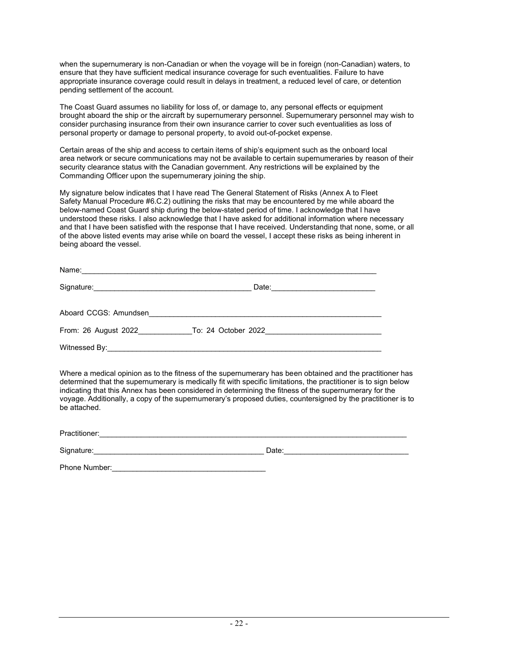when the supernumerary is non-Canadian or when the voyage will be in foreign (non-Canadian) waters, to ensure that they have sufficient medical insurance coverage for such eventualities. Failure to have appropriate insurance coverage could result in delays in treatment, a reduced level of care, or detention pending settlement of the account.

The Coast Guard assumes no liability for loss of, or damage to, any personal effects or equipment brought aboard the ship or the aircraft by supernumerary personnel. Supernumerary personnel may wish to consider purchasing insurance from their own insurance carrier to cover such eventualities as loss of personal property or damage to personal property, to avoid out-of-pocket expense.

Certain areas of the ship and access to certain items of ship's equipment such as the onboard local area network or secure communications may not be available to certain supernumeraries by reason of their security clearance status with the Canadian government. Any restrictions will be explained by the Commanding Officer upon the supernumerary joining the ship.

My signature below indicates that I have read The General Statement of Risks (Annex A to Fleet Safety Manual Procedure #6.C.2) outlining the risks that may be encountered by me while aboard the below-named Coast Guard ship during the below-stated period of time. I acknowledge that I have understood these risks. I also acknowledge that I have asked for additional information where necessary and that I have been satisfied with the response that I have received. Understanding that none, some, or all of the above listed events may arise while on board the vessel, I accept these risks as being inherent in being aboard the vessel.

| Name:                 |                     |  |
|-----------------------|---------------------|--|
|                       | Date:               |  |
| Aboard CCGS: Amundsen |                     |  |
| From: 26 August 2022  | To: 24 October 2022 |  |
| Witnessed By:         |                     |  |

Where a medical opinion as to the fitness of the supernumerary has been obtained and the practitioner has determined that the supernumerary is medically fit with specific limitations, the practitioner is to sign below indicating that this Annex has been considered in determining the fitness of the supernumerary for the voyage. Additionally, a copy of the supernumerary's proposed duties, countersigned by the practitioner is to be attached.

Practitioner:\_\_\_\_\_\_\_\_\_\_\_\_\_\_\_\_\_\_\_\_\_\_\_\_\_\_\_\_\_\_\_\_\_\_\_\_\_\_\_\_\_\_\_\_\_\_\_\_\_\_\_\_\_\_\_\_\_\_\_\_\_\_\_\_\_\_\_\_\_\_\_\_\_\_

Signature:\_\_\_\_\_\_\_\_\_\_\_\_\_\_\_\_\_\_\_\_\_\_\_\_\_\_\_\_\_\_\_\_\_\_\_\_\_\_\_\_\_ Date:\_\_\_\_\_\_\_\_\_\_\_\_\_\_\_\_\_\_\_\_\_\_\_\_\_\_\_\_\_\_

Phone Number: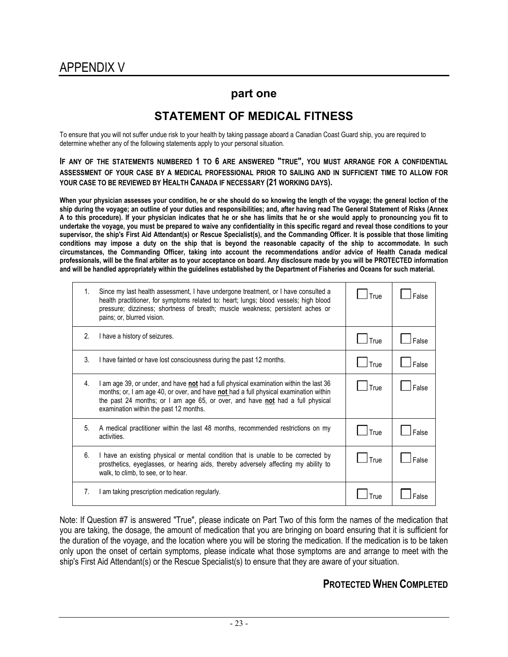### **part one**

# **STATEMENT OF MEDICAL FITNESS**

To ensure that you will not suffer undue risk to your health by taking passage aboard a Canadian Coast Guard ship, you are required to determine whether any of the following statements apply to your personal situation.

**IF ANY OF THE STATEMENTS NUMBERED 1 TO 6 ARE ANSWERED "TRUE", YOU MUST ARRANGE FOR A CONFIDENTIAL ASSESSMENT OF YOUR CASE BY A MEDICAL PROFESSIONAL PRIOR TO SAILING AND IN SUFFICIENT TIME TO ALLOW FOR YOUR CASE TO BE REVIEWED BY HEALTH CANADA IF NECESSARY (21 WORKING DAYS).**

**When your physician assesses your condition, he or she should do so knowing the length of the voyage; the general loction of the ship during the voyage; an outline of your duties and responsibilities; and, after having read The General Statement of Risks (Annex A to this procedure). If your physician indicates that he or she has limits that he or she would apply to pronouncing you fit to undertake the voyage, you must be prepared to waive any confidentiality in this specific regard and reveal those conditions to your supervisor, the ship's First Aid Attendant(s) or Rescue Specialist(s), and the Commanding Officer. It is possible that those limiting conditions may impose a duty on the ship that is beyond the reasonable capacity of the ship to accommodate. In such circumstances, the Commanding Officer, taking into account the recommendations and/or advice of Health Canada medical professionals, will be the final arbiter as to your acceptance on board. Any disclosure made by you will be PROTECTED information and will be handled appropriately within the guidelines established by the Department of Fisheries and Oceans for such material.**

| 1. | Since my last health assessment, I have undergone treatment, or I have consulted a<br>health practitioner, for symptoms related to: heart; lungs; blood vessels; high blood<br>pressure; dizziness; shortness of breath; muscle weakness; persistent aches or<br>pains; or, blurred vision.                | True | False |
|----|------------------------------------------------------------------------------------------------------------------------------------------------------------------------------------------------------------------------------------------------------------------------------------------------------------|------|-------|
| 2. | I have a history of seizures.                                                                                                                                                                                                                                                                              | True | False |
| 3. | I have fainted or have lost consciousness during the past 12 months.                                                                                                                                                                                                                                       | True | False |
| 4. | I am age 39, or under, and have not had a full physical examination within the last 36<br>months; or, I am age 40, or over, and have not had a full physical examination within<br>the past 24 months; or I am age 65, or over, and have not had a full physical<br>examination within the past 12 months. | True | False |
| 5. | A medical practitioner within the last 48 months, recommended restrictions on my<br>activities.                                                                                                                                                                                                            | True | False |
| 6. | I have an existing physical or mental condition that is unable to be corrected by<br>prosthetics, eyeglasses, or hearing aids, thereby adversely affecting my ability to<br>walk, to climb, to see, or to hear.                                                                                            | True | False |
| 7. | I am taking prescription medication regularly.                                                                                                                                                                                                                                                             | True |       |

Note: If Question #7 is answered "True", please indicate on Part Two of this form the names of the medication that you are taking, the dosage, the amount of medication that you are bringing on board ensuring that it is sufficient for the duration of the voyage, and the location where you will be storing the medication. If the medication is to be taken only upon the onset of certain symptoms, please indicate what those symptoms are and arrange to meet with the ship's First Aid Attendant(s) or the Rescue Specialist(s) to ensure that they are aware of your situation.

## **PROTECTED WHEN COMPLETED**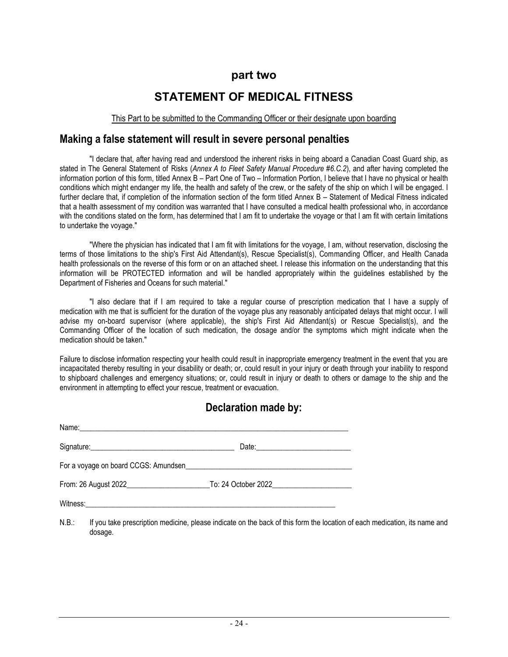## **part two**

# **STATEMENT OF MEDICAL FITNESS**

#### This Part to be submitted to the Commanding Officer or their designate upon boarding

## **Making a false statement will result in severe personal penalties**

"I declare that, after having read and understood the inherent risks in being aboard a Canadian Coast Guard ship, as stated in The General Statement of Risks (*Annex A to Fleet Safety Manual Procedure #6.C.2*), and after having completed the information portion of this form, titled Annex B – Part One of Two – Information Portion, I believe that I have no physical or health conditions which might endanger my life, the health and safety of the crew, or the safety of the ship on which I will be engaged. I further declare that, if completion of the information section of the form titled Annex B – Statement of Medical Fitness indicated that a health assessment of my condition was warranted that I have consulted a medical health professional who, in accordance with the conditions stated on the form, has determined that I am fit to undertake the voyage or that I am fit with certain limitations to undertake the voyage."

"Where the physician has indicated that I am fit with limitations for the voyage, I am, without reservation, disclosing the terms of those limitations to the ship's First Aid Attendant(s), Rescue Specialist(s), Commanding Officer, and Health Canada health professionals on the reverse of this form or on an attached sheet. I release this information on the understanding that this information will be PROTECTED information and will be handled appropriately within the guidelines established by the Department of Fisheries and Oceans for such material."

"I also declare that if I am required to take a regular course of prescription medication that I have a supply of medication with me that is sufficient for the duration of the voyage plus any reasonably anticipated delays that might occur. I will advise my on-board supervisor (where applicable), the ship's First Aid Attendant(s) or Rescue Specialist(s), and the Commanding Officer of the location of such medication, the dosage and/or the symptoms which might indicate when the medication should be taken."

Failure to disclose information respecting your health could result in inappropriate emergency treatment in the event that you are incapacitated thereby resulting in your disability or death; or, could result in your injury or death through your inability to respond to shipboard challenges and emergency situations; or, could result in injury or death to others or damage to the ship and the environment in attempting to effect your rescue, treatment or evacuation.

# **Declaration made by:**

| From: 26 August 2022 <b>1992 12: 10: 24 October 2022</b> 20: 26 August 2022 |
|-----------------------------------------------------------------------------|
|                                                                             |

N.B.: If you take prescription medicine, please indicate on the back of this form the location of each medication, its name and dosage.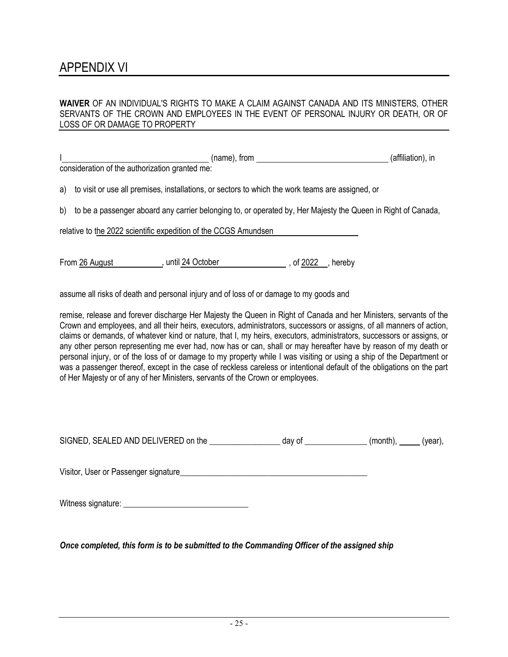# APPENDIX VI

### **WAIVER** OF AN INDIVIDUAL'S RIGHTS TO MAKE A CLAIM AGAINST CANADA AND ITS MINISTERS, OTHER SERVANTS OF THE CROWN AND EMPLOYEES IN THE EVENT OF PERSONAL INJURY OR DEATH, OR OF LOSS OF OR DAMAGE TO PROPERTY

|    | (name), from<br>consideration of the authorization granted me:                                               | (affiliation), in |
|----|--------------------------------------------------------------------------------------------------------------|-------------------|
| a) | to visit or use all premises, installations, or sectors to which the work teams are assigned, or             |                   |
| b) | to be a passenger aboard any carrier belonging to, or operated by, Her Majesty the Queen in Right of Canada, |                   |
|    | relative to the 2022 scientific expedition of the CCGS Amundsen                                              |                   |
|    | , until 24 October<br>, of 2022<br>From 26 August<br>hereby                                                  |                   |

assume all risks of death and personal injury and of loss of or damage to my goods and

remise, release and forever discharge Her Majesty the Queen in Right of Canada and her Ministers, servants of the Crown and employees, and all their heirs, executors, administrators, successors or assigns, of all manners of action, claims or demands, of whatever kind or nature, that I, my heirs, executors, administrators, successors or assigns, or any other person representing me ever had, now has or can, shall or may hereafter have by reason of my death or personal injury, or of the loss of or damage to my property while I was visiting or using a ship of the Department or was a passenger thereof, except in the case of reckless careless or intentional default of the obligations on the part of Her Majesty or of any of her Ministers, servants of the Crown or employees.

| SIGNED, SEALED AND DELIVERED on the | dav of | (month) | 'vear), |
|-------------------------------------|--------|---------|---------|
|                                     |        |         |         |

Visitor, User or Passenger signature\_\_\_\_\_\_\_\_\_\_\_\_\_\_\_\_\_\_\_\_\_\_\_\_\_\_\_\_\_\_\_\_\_\_\_\_\_\_\_\_\_\_\_\_\_

Witness signature:

*Once completed, this form is to be submitted to the Commanding Officer of the assigned ship*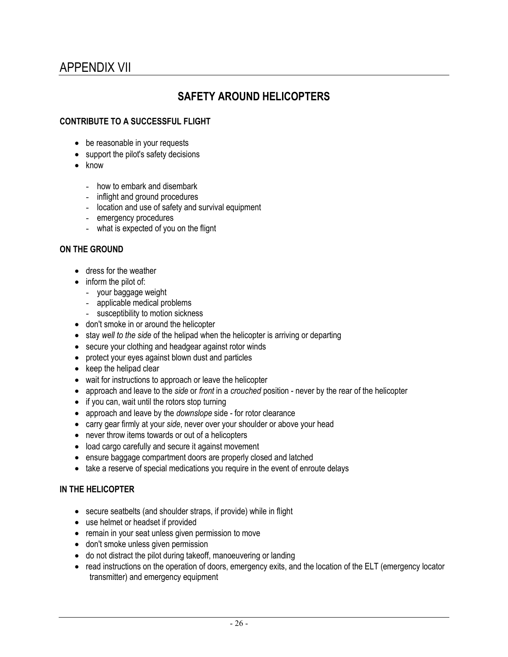# APPENDIX VII

# **SAFETY AROUND HELICOPTERS**

### **CONTRIBUTE TO A SUCCESSFUL FLIGHT**

- be reasonable in your requests
- support the pilot's safety decisions
- know
	- how to embark and disembark
	- inflight and ground procedures
	- location and use of safety and survival equipment
	- emergency procedures
	- what is expected of you on the flignt

### **ON THE GROUND**

- dress for the weather
- inform the pilot of:
	- your baggage weight
	- applicable medical problems
	- susceptibility to motion sickness
- don't smoke in or around the helicopter
- stay *well to the side* of the helipad when the helicopter is arriving or departing
- secure your clothing and headgear against rotor winds
- protect your eyes against blown dust and particles
- keep the helipad clear
- wait for instructions to approach or leave the helicopter
- approach and leave to the *side* or *front* in a *crouched* position never by the rear of the helicopter
- if you can, wait until the rotors stop turning
- approach and leave by the *downslope* side for rotor clearance
- carry gear firmly at your *side*, never over your shoulder or above your head
- never throw items towards or out of a helicopters
- load cargo carefully and secure it against movement
- ensure baggage compartment doors are properly closed and latched
- take a reserve of special medications you require in the event of enroute delays

### **IN THE HELICOPTER**

- secure seatbelts (and shoulder straps, if provide) while in flight
- use helmet or headset if provided
- remain in your seat unless given permission to move
- don't smoke unless given permission
- do not distract the pilot during takeoff, manoeuvering or landing
- read instructions on the operation of doors, emergency exits, and the location of the ELT (emergency locator transmitter) and emergency equipment